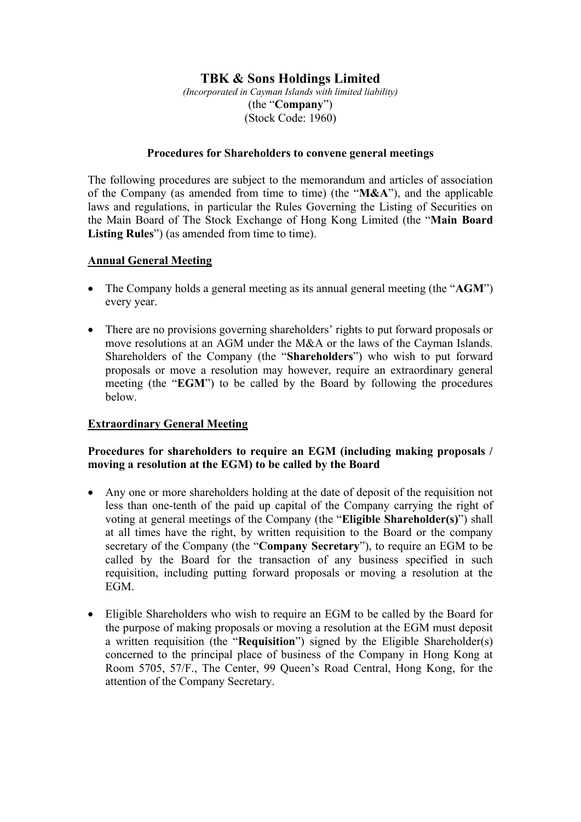# **TBK & Sons Holdings Limited**

*(Incorporated in Cayman Islands with limited liability)* (the "**Company**") (Stock Code: 1960)

#### **Procedures for Shareholders to convene general meetings**

The following procedures are subject to the memorandum and articles of association of the Company (as amended from time to time) (the "**M&A**"), and the applicable laws and regulations, in particular the Rules Governing the Listing of Securities on the Main Board of The Stock Exchange of Hong Kong Limited (the "**Main Board**  Listing Rules<sup>"</sup>) (as amended from time to time).

## **Annual General Meeting**

- The Company holds a general meeting as its annual general meeting (the "**AGM**") every year.
- There are no provisions governing shareholders' rights to put forward proposals or move resolutions at an AGM under the M&A or the laws of the Cayman Islands. Shareholders of the Company (the "**Shareholders**") who wish to put forward proposals or move a resolution may however, require an extraordinary general meeting (the "**EGM**") to be called by the Board by following the procedures below.

### **Extraordinary General Meeting**

## **Procedures for shareholders to require an EGM (including making proposals / moving a resolution at the EGM) to be called by the Board**

- Any one or more shareholders holding at the date of deposit of the requisition not less than one-tenth of the paid up capital of the Company carrying the right of voting at general meetings of the Company (the "**Eligible Shareholder(s)**") shall at all times have the right, by written requisition to the Board or the company secretary of the Company (the "**Company Secretary**"), to require an EGM to be called by the Board for the transaction of any business specified in such requisition, including putting forward proposals or moving a resolution at the EGM.
- Eligible Shareholders who wish to require an EGM to be called by the Board for the purpose of making proposals or moving a resolution at the EGM must deposit a written requisition (the "**Requisition**") signed by the Eligible Shareholder(s) concerned to the principal place of business of the Company in Hong Kong at Room 5705, 57/F., The Center, 99 Queen's Road Central, Hong Kong, for the attention of the Company Secretary.